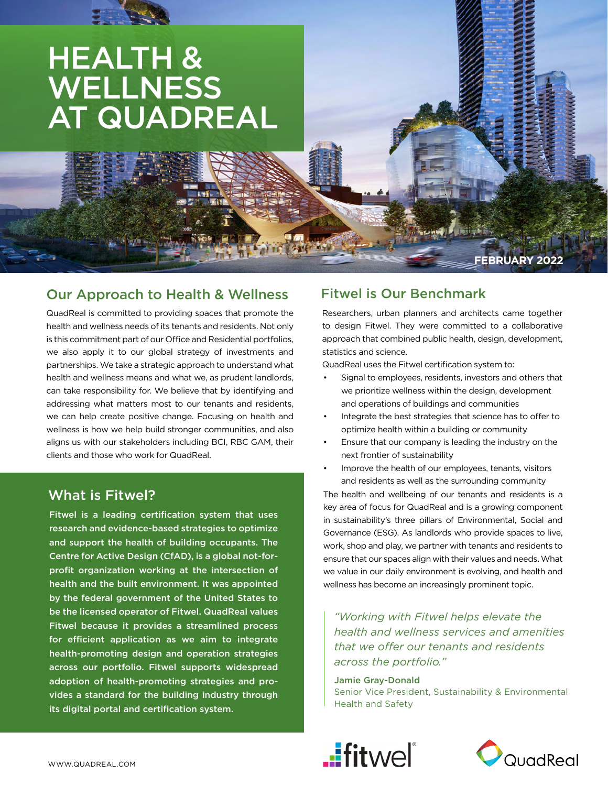# HEALTH & **WELLNESS** AT QUADREAL

## Our Approach to Health & Wellness

QuadReal is committed to providing spaces that promote the health and wellness needs of its tenants and residents. Not only is this commitment part of our Office and Residential portfolios, we also apply it to our global strategy of investments and partnerships. We take a strategic approach to understand what health and wellness means and what we, as prudent landlords, can take responsibility for. We believe that by identifying and addressing what matters most to our tenants and residents, we can help create positive change. Focusing on health and wellness is how we help build stronger communities, and also aligns us with our stakeholders including BCI, RBC GAM, their clients and those who work for QuadReal.

## What is Fitwel?

Fitwel is a leading certification system that uses research and evidence-based strategies to optimize and support the health of building occupants. The Centre for Active Design (CfAD), is a global not-forprofit organization working at the intersection of health and the built environment. It was appointed by the federal government of the United States to be the licensed operator of Fitwel. QuadReal values Fitwel because it provides a streamlined process for efficient application as we aim to integrate health-promoting design and operation strategies across our portfolio. Fitwel supports widespread adoption of health-promoting strategies and provides a standard for the building industry through its digital portal and certification system.

## Fitwel is Our Benchmark

Researchers, urban planners and architects came together to design Fitwel. They were committed to a collaborative approach that combined public health, design, development, statistics and science.

**FEBRUARY 2022**

QuadReal uses the Fitwel certification system to:

- Signal to employees, residents, investors and others that we prioritize wellness within the design, development and operations of buildings and communities
- Integrate the best strategies that science has to offer to optimize health within a building or community
- Ensure that our company is leading the industry on the next frontier of sustainability
- Improve the health of our employees, tenants, visitors and residents as well as the surrounding community

The health and wellbeing of our tenants and residents is a key area of focus for QuadReal and is a growing component in sustainability's three pillars of Environmental, Social and Governance (ESG). As landlords who provide spaces to live, work, shop and play, we partner with tenants and residents to ensure that our spaces align with their values and needs. What we value in our daily environment is evolving, and health and wellness has become an increasingly prominent topic.

*"Working with Fitwel helps elevate the health and wellness services and amenities that we offer our tenants and residents across the portfolio."*

Jamie Gray-Donald

Senior Vice President, Sustainability & Environmental Health and Safety